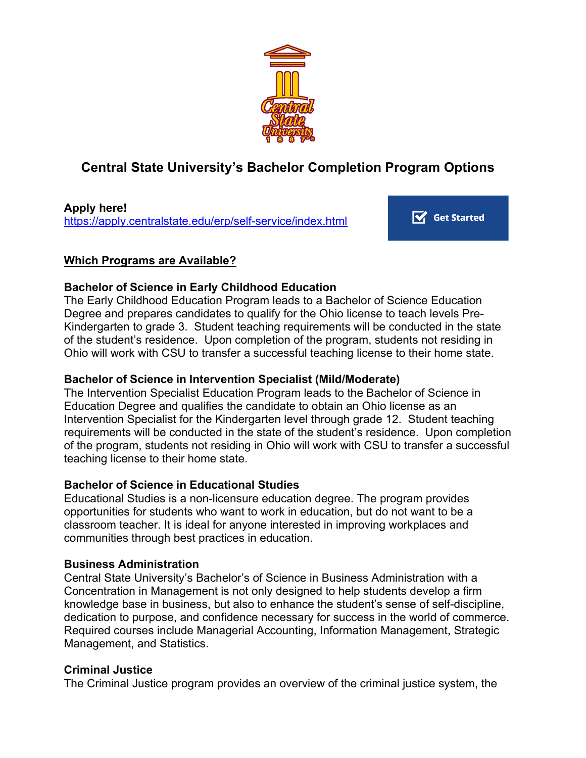

# **Central State University's Bachelor Completion Program Options**

**Apply here!** https://apply.centralstate.edu/erp/self-service/index.html

 $\overrightarrow{V}$  Get Started

### **Which Programs are Available?**

#### **Bachelor of Science in Early Childhood Education**

The Early Childhood Education Program leads to a Bachelor of Science Education Degree and prepares candidates to qualify for the Ohio license to teach levels Pre-Kindergarten to grade 3. Student teaching requirements will be conducted in the state of the student's residence. Upon completion of the program, students not residing in Ohio will work with CSU to transfer a successful teaching license to their home state.

## **Bachelor of Science in Intervention Specialist (Mild/Moderate)**

The Intervention Specialist Education Program leads to the Bachelor of Science in Education Degree and qualifies the candidate to obtain an Ohio license as an Intervention Specialist for the Kindergarten level through grade 12. Student teaching requirements will be conducted in the state of the student's residence. Upon completion of the program, students not residing in Ohio will work with CSU to transfer a successful teaching license to their home state.

#### **Bachelor of Science in Educational Studies**

Educational Studies is a non-licensure education degree. The program provides opportunities for students who want to work in education, but do not want to be a classroom teacher. It is ideal for anyone interested in improving workplaces and communities through best practices in education.

#### **Business Administration**

Central State University's Bachelor's of Science in Business Administration with a Concentration in Management is not only designed to help students develop a firm knowledge base in business, but also to enhance the student's sense of self-discipline, dedication to purpose, and confidence necessary for success in the world of commerce. Required courses include Managerial Accounting, Information Management, Strategic Management, and Statistics.

## **Criminal Justice**

The Criminal Justice program provides an overview of the criminal justice system, the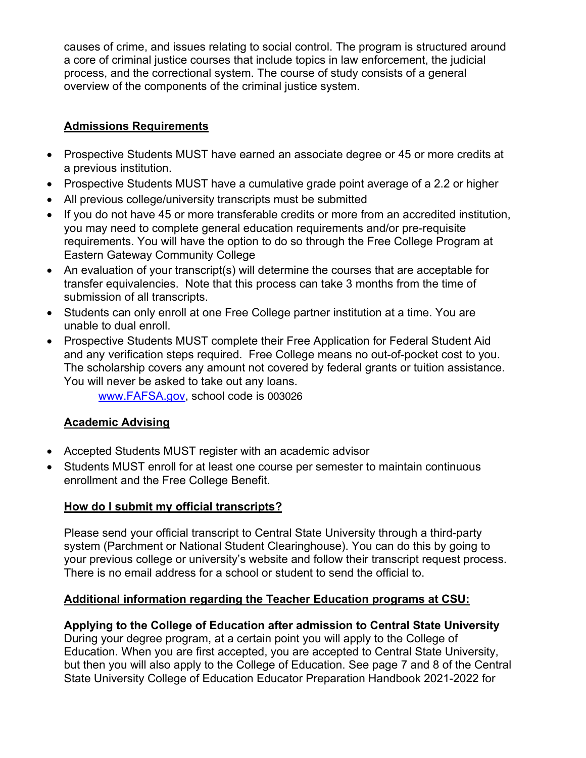causes of crime, and issues relating to social control. The program is structured around a core of criminal justice courses that include topics in law enforcement, the judicial process, and the correctional system. The course of study consists of a general overview of the components of the criminal justice system.

## **Admissions Requirements**

- Prospective Students MUST have earned an associate degree or 45 or more credits at a previous institution.
- Prospective Students MUST have a cumulative grade point average of a 2.2 or higher
- All previous college/university transcripts must be submitted
- If you do not have 45 or more transferable credits or more from an accredited institution, you may need to complete general education requirements and/or pre-requisite requirements. You will have the option to do so through the Free College Program at Eastern Gateway Community College
- An evaluation of your transcript(s) will determine the courses that are acceptable for transfer equivalencies. Note that this process can take 3 months from the time of submission of all transcripts.
- Students can only enroll at one Free College partner institution at a time. You are unable to dual enroll.
- Prospective Students MUST complete their Free Application for Federal Student Aid and any verification steps required. Free College means no out-of-pocket cost to you. The scholarship covers any amount not covered by federal grants or tuition assistance. You will never be asked to take out any loans.

www.FAFSA.gov, school code is 003026

# **Academic Advising**

- Accepted Students MUST register with an academic advisor
- Students MUST enroll for at least one course per semester to maintain continuous enrollment and the Free College Benefit.

## **How do I submit my official transcripts?**

Please send your official transcript to Central State University through a third-party system (Parchment or National Student Clearinghouse). You can do this by going to your previous college or university's website and follow their transcript request process. There is no email address for a school or student to send the official to.

# **Additional information regarding the Teacher Education programs at CSU:**

# **Applying to the College of Education after admission to Central State University**

During your degree program, at a certain point you will apply to the College of Education. When you are first accepted, you are accepted to Central State University, but then you will also apply to the College of Education. See page 7 and 8 of the Central State University College of Education Educator Preparation Handbook 2021-2022 for